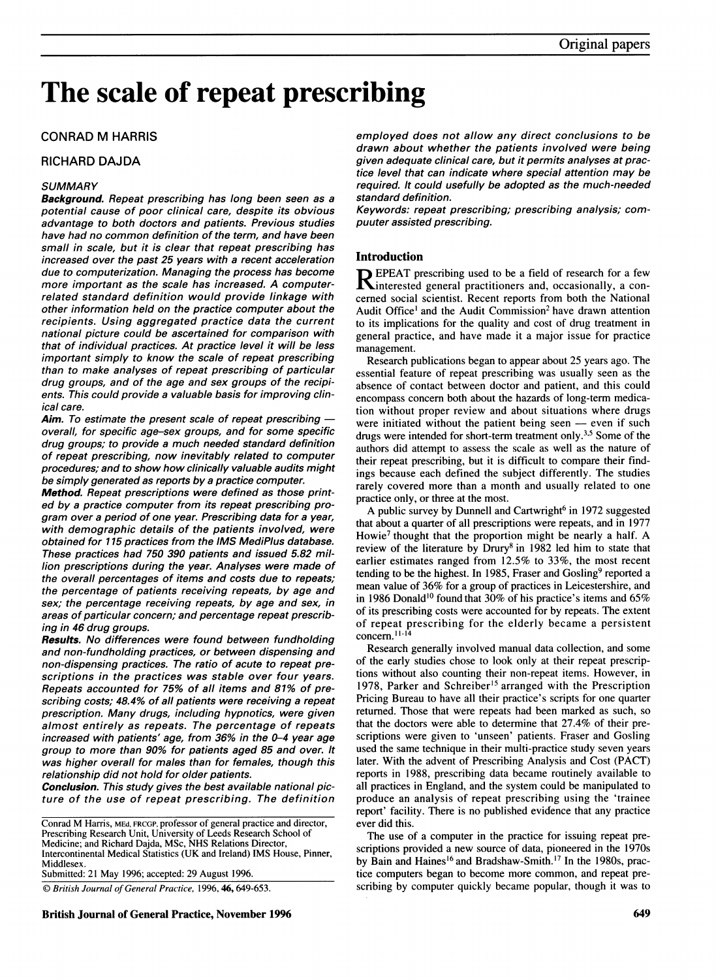# The scale of repeat prescribing

### CONRAD M HARRIS

#### RICHARD DAJDA

#### **SUMMARY**

Background. Repeat prescribing has long been seen as a potential cause of poor clinical care, despite its obvious advantage to both doctors and patients. Previous studies have had no common definition of the term, and have been small in scale, but it is clear that repeat prescribing has increased over the past 25 years with a recent acceleration due to computerization. Managing the process has become more important as the scale has increased. A computerrelated standard definition would provide linkage with other information held on the practice computer about the recipients. Using aggregated practice data the current national picture could be ascertained for comparison with that of individual practices. At practice level it will be less important simply to know the scale of repeat prescribing than to make analyses of repeat prescribing of particular drug groups, and of the age and sex groups of the recipients. This could provide a valuable basis for improving clinical care.

Aim. To estimate the present scale of repeat prescribing  $$ overall, for specific age-sex groups, and for some specific drug groups; to provide a much needed standard definition of repeat prescribing, now inevitably related to computer procedures; and to show how clinically valuable audits might be simply generated as reports by a practice computer.

Method. Repeat prescriptions were defined as those printed by a practice computer from its repeat prescribing program over a period of one year. Prescribing data for a year, with demographic details of the patients involved, were obtained for 115 practices from the IMS MediPlus database. These practices had 750 390 patients and issued 5.82 million prescriptions during the year. Analyses were made of the overall percentages of items and costs due to repeats; the percentage of patients receiving repeats, by age and sex; the percentage receiving repeats, by age and sex, in areas of particular concern; and percentage repeat prescribing in 46 drug groups.

Results. No differences were found between fundholding and non-fundholding practices, or between dispensing and non-dispensing practices. The ratio of acute to repeat prescriptions in the practices was stable over four years. Repeats accounted for 75% of all items and 81% of prescribing costs; 48.4% of all patients were receiving a repeat prescription. Many drugs, including hypnotics, were given almost entirely as repeats. The percentage of repeats increased with patients' age, from 36% in the 0-4 year age group to more than 90% for patients aged 85 and over. It was higher overall for males than for females, though this relationship did not hold for older patients.

Conclusion. This study gives the best available national picture of the use of repeat prescribing. The definition

Conrad M Harris, MEd, FRCGP, professor of general practice and director, Prescribing Research Unit, University of Leeds Research School of Medicine; and Richard Dajda, MSc, NHS Relations Director, Intercontinental Medical Statistics (UK and Ireland) IMS House, Pinner, **Middlesex** Submitted: 21 May 1996; accepted: 29 August 1996.

C British Journal of General Practice, 1996, 46, 649-653.

British Journal of General Practice, November 1996 **649 649** 

employed does not allow any direct conclusions to be drawn about whether the patients involved were being given adequate clinical care, but it permits analyses at practice level that can indicate where special attention may be required. It could usefully be adopted as the much-needed standard definition.

Keywords: repeat prescribing; prescribing analysis; compuuter assisted prescribing.

#### Introduction

R EPEAT prescribing used to be <sup>a</sup> field of research for <sup>a</sup> few Kinterested general practitioners and, occasionally, a concerned social scientist. Recent reports from both the National Audit Office' and the Audit Commission2 have drawn attention to its implications for the quality and cost of drug treatment in general practice, and have made it a major issue for practice management.

Research publications began to appear about 25 years ago. The essential feature of repeat prescribing was usually seen as the absence of contact between doctor and patient, and this could encompass concern both about the hazards of long-term medication without proper review and about situations where drugs were initiated without the patient being seen  $-$  even if such drugs were intended for short-term treatment only.3'5 Some of the authors did attempt to assess the scale as well as the nature of their repeat prescribing, but it is difficult to compare their findings because each defined the subject differently. The studies rarely covered more than a month and usually related to one practice only, or three at the most.

A public survey by Dunnell and Cartwright<sup>6</sup> in 1972 suggested that about a quarter of all prescriptions were repeats, and in 1977 Howie<sup>7</sup> thought that the proportion might be nearly a half. A review of the literature by Drury<sup>8</sup> in 1982 led him to state that earlier estimates ranged from 12.5% to 33%, the most recent tending to be the highest. In 1985, Fraser and Gosling<sup>9</sup> reported a mean value of 36% for a group of practices in Leicestershire, and in 1986 Donald'0 found that 30% of his practice's items and 65% of its prescribing costs were accounted for by repeats. The extent of repeat prescribing for the elderly became a persistent concern.<sup>11-14</sup>

Research generally involved manual data collection, and some of the early studies chose to look only at their repeat prescriptions without also counting their non-repeat items. However, in 1978, Parker and Schreiber's arranged with the Prescription Pricing Bureau to have all their practice's scripts for one quarter returned. Those that were repeats had been marked as such, so that the doctors were able to determine that 27.4% of their prescriptions were given to 'unseen' patients. Fraser and Gosling used the same technique in their multi-practice study seven years later. With the advent of Prescribing Analysis and Cost (PACT) reports in 1988, prescribing data became routinely available to all practices in England, and the system could be manipulated to produce an analysis of repeat prescribing using the 'trainee report' facility. There is no published evidence that any practice ever did this.

The use of a computer in the practice for issuing repeat prescriptions provided a new source of data, pioneered in the 1970s by Bain and Haines<sup>16</sup> and Bradshaw-Smith.<sup>17</sup> In the 1980s, practice computers began to become more common, and repeat prescribing by computer quickly became popular, though it was to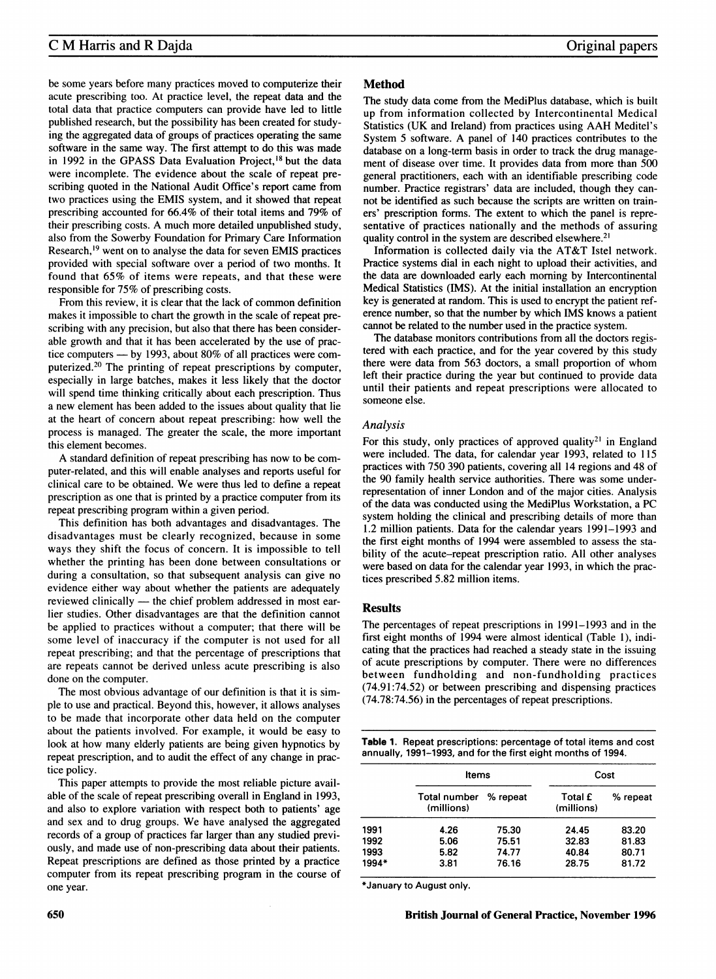be some years before many practices moved to computerize their acute prescribing too. At practice level, the repeat data and the total data that practice computers can provide have led to little published research, but the possibility has been created for studying the aggregated data of groups of practices operating the same software in the same way. The first attempt to do this was made in 1992 in the GPASS Data Evaluation Project,<sup>18</sup> but the data were incomplete. The evidence about the scale of repeat prescribing quoted in the National Audit Office's report came from two practices using the EMIS system, and it showed that repeat prescribing accounted for 66.4% of their total items and 79% of their prescribing costs. A much more detailed unpublished study, also from the Sowerby Foundation for Primary Care Information Research,'9 went on to analyse the data for seven EMIS practices provided with special software over a period of two months. It found that 65% of items were repeats, and that these were responsible for 75% of prescribing costs.

From this review, it is clear that the lack of common definition makes it impossible to chart the growth in the scale of repeat prescribing with any precision, but also that there has been considerable growth and that it has been accelerated by the use of practice computers  $-$  by 1993, about 80% of all practices were computerized.20 The printing of repeat prescriptions by computer, especially in large batches, makes it less likely that the doctor will spend time thinking critically about each prescription. Thus a new element has been added to the issues about quality that lie at the heart of concern about repeat prescribing: how well the process is managed. The greater the scale, the more important this element becomes.

A standard definition of repeat prescribing has now to be computer-related, and this will enable analyses and reports useful for clinical care to be obtained. We were thus led to define <sup>a</sup> repeat prescription as one that is printed by a practice computer from its repeat prescribing program within a given period.

This definition has both advantages and disadvantages. The disadvantages must be clearly recognized, because in some ways they shift the focus of concern. It is impossible to tell whether the printing has been done between consultations or during a consultation, so that subsequent analysis can give no evidence either way about whether the patients are adequately reviewed clinically - the chief problem addressed in most earlier studies. Other disadvantages are that the definition cannot be applied to practices without a computer; that there will be some level of inaccuracy if the computer is not used for all repeat prescribing; and that the percentage of prescriptions that are repeats cannot be derived unless acute prescribing is also done on the computer.

The most obvious advantage of our definition is that it is simple to use and practical. Beyond this, however, it allows analyses to be made that incorporate other data held on the computer about the patients involved. For example, it would be easy to look at how many elderly patients are being given hypnotics by repeat prescription, and to audit the effect of any change in practice policy.

This paper attempts to provide the most reliable picture available of the scale of repeat prescribing overall in England in 1993, and also to explore variation with respect both to patients' age and sex and to drug groups. We have analysed the aggregated records of a group of practices far larger than any studied previously, and made use of non-prescribing data about their patients. Repeat prescriptions are defined as those printed by a practice computer from its repeat prescribing program in the course of one year.

#### Method

The study data come from the MediPlus database, which is built up from information collected by Intercontinental Medical Statistics (UK and Ireland) from practices using AAH Meditel's System <sup>5</sup> software. A panel of <sup>140</sup> practices contributes to the database on a long-term basis in order to track the drug management of disease over time. It provides data from more than 500 general practitioners, each with an identifiable prescribing code number. Practice registrars' data are included, though they cannot be identified as such because the scripts are written on trainers' prescription forms. The extent to which the panel is representative of practices nationally and the methods of assuring quality control in the system are described elsewhere.2'

Information is collected daily via the AT&T Istel network. Practice systems dial in each night to upload their activities, and the data are downloaded early each morning by Intercontinental Medical Statistics (IMS). At the initial installation an encryption key is generated at random. This is used to encrypt the patient reference number, so that the number by which IMS knows a patient cannot be related to the number used in the practice system.

The database monitors contributions from all the doctors registered with each practice, and for the year covered by this study there were data from 563 doctors, <sup>a</sup> small proportion of whom left their practice during the year but continued to provide data until their patients and repeat prescriptions were allocated to someone else.

#### Analysis

For this study, only practices of approved quality<sup>21</sup> in England were included. The data, for calendar year 1993, related to 115 practices with 750 390 patients, covering all 14 regions and 48 of the 90 family health service authorities. There was some underrepresentation of inner London and of the major cities. Analysis of the data was conducted using the MediPlus Workstation, a PC system holding the clinical and prescribing details of more than 1.2 million patients. Data for the calendar years 1991-1993 and the first eight months of 1994 were assembled to assess the stability of the acute-repeat prescription ratio. All other analyses were based on data for the calendar year 1993, in which the practices prescribed 5.82 million items.

#### Results

The percentages of repeat prescriptions in 1991-1993 and in the first eight months of 1994 were almost identical (Table 1), indicating that the practices had reached a steady state in the issuing of acute prescriptions by computer. There were no differences between fundholding and non-fundholding practices (74.91:74.52) or between prescribing and dispensing practices (74.78:74.56) in the percentages of repeat prescriptions.

Table 1. Repeat prescriptions: percentage of total items and cost annually, 1991-1993, and for the first eight months of 1994.

|       | Items                             |          | Cost                  |          |  |  |
|-------|-----------------------------------|----------|-----------------------|----------|--|--|
|       | <b>Total number</b><br>(millions) | % repeat | Total £<br>(millions) | % repeat |  |  |
| 1991  | 4.26                              | 75.30    | 24.45                 | 83.20    |  |  |
| 1992  | 5.06                              | 75.51    | 32.83                 | 81.83    |  |  |
| 1993  | 5.82                              | 74.77    | 40.84                 | 80.71    |  |  |
| 1994* | 3.81                              | 76.16    | 28.75                 | 81.72    |  |  |

\*January to August only.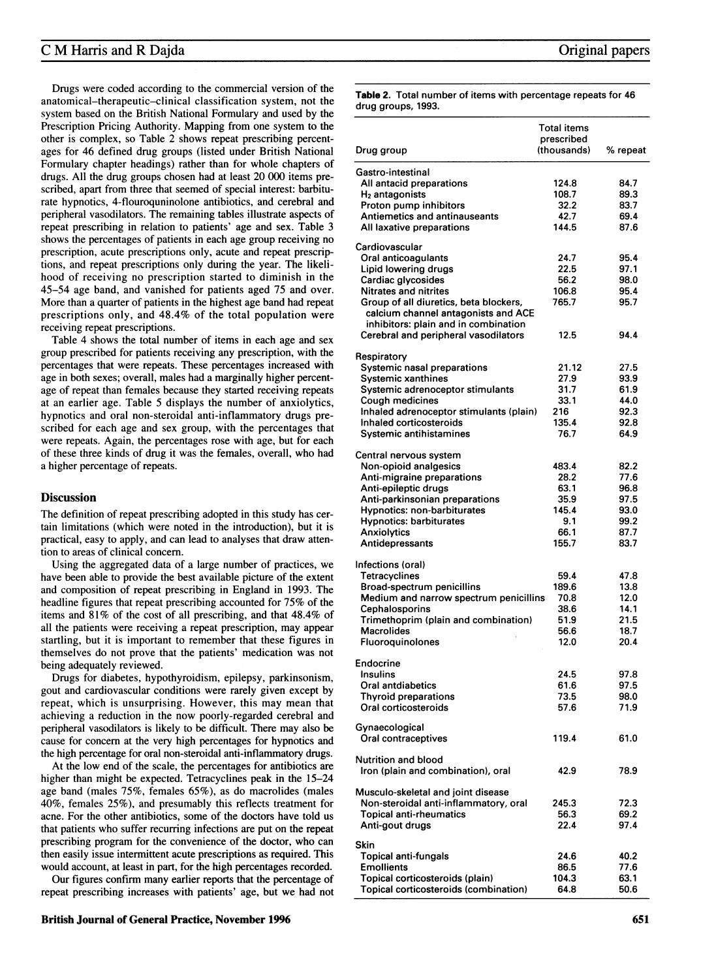Drugs were coded according to the commercial version of the anatomical-therapeutic-clinical classification system, not the system based on the British National Formulary and used by the Prescription Pricing Authority. Mapping from one system to the other is complex, so Table 2 shows repeat prescribing percentages for 46 defined drug groups (listed under British National Formulary chapter headings) rather than for whole chapters of drugs. All the drug groups chosen had at least 20 000 items prescribed, apart from three that seemed of special interest: barbiturate hypnotics, 4-flouroquninolone antibiotics, and cerebral and peripheral vasodilators. The remaining tables illustrate aspects of repeat prescribing in relation to patients' age and sex. Table 3 shows the percentages of patients in each age group receiving no prescription, acute prescriptions only, acute and repeat prescriptions, and repeat prescriptions only during the year. The likelihood of receiving no prescription started to diminish in the 45-54 age band, and vanished for patients aged 75 and over. More than a quarter of patients in the highest age band had repeat prescriptions only, and 48.4% of the total population were receiving repeat prescriptions.

Table 4 shows the total number of items in each age and sex group prescribed for patients receiving any prescription, with the percentages that were repeats. These percentages increased with age in both sexes; overall, males had a marginally higher percentage of repeat than females because they started receiving repeats at an earlier age. Table 5 displays the number of anxiolytics, hypnotics and oral non-steroidal anti-inflammatory drugs prescribed for each age and sex group, with the percentages that were repeats. Again, the percentages rose with age, but for each of these three kinds of drug it was the females, overall, who had a higher percentage of repeats.

#### **Discussion**

The definition of repeat prescribing adopted in this study has certain limitations (which were noted in the introduction), but it is practical, easy to apply, and can lead to analyses that draw attention to areas of clinical concern.

Using the aggregated data of a large number of practices, we have been able to provide the best available picture of the extent and composition of repeat prescribing in England in 1993. The headline figures that repeat prescribing accounted for 75% of the items and 81% of the cost of all prescribing, and that 48.4% of all the patients were receiving a repeat prescription, may appear startling, but it is important to remember that these figures in themselves do not prove that the patients' medication was not being adequately reviewed.

Drugs for diabetes, hypothyroidism, epilepsy, parkinsonism, gout and cardiovascular conditions were rarely given except by repeat, which is unsurprising. However, this may mean that achieving a reduction in the now poorly-regarded cerebral and peripheral vasodilators is likely to be difficult. There may also be cause for concern at the very high percentages for hypnotics and the high percentage for oral non-steroidal anti-inflammatory drugs.

At the low end of the scale, the percentages for antibiotics are higher than might be expected. Tetracyclines peak in the 15-24 age band (males 75%, females 65%), as do macrolides (males 40%, females 25%), and presumably this reflects treatment for acne. For the other antibiotics, some of the doctors have told us that patients who suffer recurring infections are put on the repeat prescribing program for the convenience of the doctor, who can then easily issue intermittent acute prescriptions as required. This would account, at least in part, for the high percentages recorded.

Our figures confirm many earlier reports that the percentage of repeat prescribing increases with patients' age, but we had not Table 2. Total number of items with percentage repeats for 46 drug groups, 1993.

|                                         | Total items<br>prescribed |          |  |  |
|-----------------------------------------|---------------------------|----------|--|--|
| Drug group                              | (thousands)               | % repeat |  |  |
| Gastro-intestinal                       |                           |          |  |  |
| All antacid preparations                | 124.8                     | 84.7     |  |  |
| H <sub>2</sub> antagonists              | 108.7                     | 89.3     |  |  |
| Proton pump inhibitors                  | 32.2                      | 83.7     |  |  |
| Antiemetics and antinauseants           | 42.7                      | 69.4     |  |  |
| All laxative preparations               | 144.5                     | 87.6     |  |  |
| Cardiovascular                          |                           |          |  |  |
| Oral anticoagulants                     | 24.7                      | 95.4     |  |  |
| Lipid lowering drugs                    | 22.5                      | 97.1     |  |  |
| Cardiac glycosides                      | 56.2                      | 98.0     |  |  |
| <b>Nitrates and nitrites</b>            | 106.8                     | 95.4     |  |  |
| Group of all diuretics, beta blockers,  | 765.7                     | 95.7     |  |  |
| calcium channel antagonists and ACE     |                           |          |  |  |
| inhibitors: plain and in combination    |                           |          |  |  |
| Cerebral and peripheral vasodilators    | 12.5                      | 94.4     |  |  |
| Respiratory                             |                           |          |  |  |
| <b>Systemic nasal preparations</b>      | 21.12                     | 27.5     |  |  |
| <b>Systemic xanthines</b>               | 27.9                      | 93.9     |  |  |
| Systemic adrenoceptor stimulants        | 31.7                      | 61.9     |  |  |
| <b>Cough medicines</b>                  | 33.1                      | 44.0     |  |  |
| Inhaled adrenoceptor stimulants (plain) | 216                       | 92.3     |  |  |
| Inhaled corticosteroids                 | 135.4                     | 92.8     |  |  |
| Systemic antihistamines                 | 76.7                      | 64.9     |  |  |
| Central nervous system                  |                           |          |  |  |
| Non-opioid analgesics                   | 483.4                     | 82.2     |  |  |
| Anti-migraine preparations              | 28.2                      | 77.6     |  |  |
| Anti-epileptic drugs                    | 63.1                      | 96.8     |  |  |
| Anti-parkinsonian preparations          | 35.9                      | 97.5     |  |  |
| <b>Hypnotics: non-barbiturates</b>      | 145.4                     | 93.0     |  |  |
| <b>Hypnotics: barbiturates</b>          | 9.1                       | 99.2     |  |  |
| Anxiolytics                             | 66.1                      | 87.7     |  |  |
| Antidepressants                         | 155.7                     | 83.7     |  |  |
| Infections (oral)                       |                           |          |  |  |
| <b>Tetracyclines</b>                    | 59.4                      | 47.8     |  |  |
| <b>Broad-spectrum penicillins</b>       | 189.6                     | 13.8     |  |  |
| Medium and narrow spectrum penicillins  | 70.8                      | 12.0     |  |  |
| Cephalosporins                          | 38.6                      | 14.1     |  |  |
| Trimethoprim (plain and combination)    | 51.9                      | 21.5     |  |  |
| Macrolides                              | 56.6                      | 18.7     |  |  |
| Fluoroquinolones                        | 12.0                      | 20.4     |  |  |
| Endocrine                               |                           |          |  |  |
| <b>Insulins</b>                         | 24.5                      | 97.8     |  |  |
| Oral antdiabetics                       | 61.6                      | 97.5     |  |  |
| <b>Thyroid preparations</b>             | 73.5                      | 98.0     |  |  |
| Oral corticosteroids                    | 57.6                      | 71.9     |  |  |
| Gynaecological                          |                           |          |  |  |
| Oral contraceptives                     | 119.4                     | 61.0     |  |  |
| <b>Nutrition and blood</b>              |                           |          |  |  |
| Iron (plain and combination), oral      | 42.9                      | 78.9     |  |  |
| Musculo-skeletal and joint disease      |                           |          |  |  |
| Non-steroidal anti-inflammatory, oral   | 245.3                     | 72.3     |  |  |
| <b>Topical anti-rheumatics</b>          | 56.3                      | 69.2     |  |  |
| Anti-gout drugs                         | 22.4                      | 97.4     |  |  |
|                                         |                           |          |  |  |
| Skin                                    |                           |          |  |  |
| <b>Topical anti-fungals</b>             | 24.6                      | 40.2     |  |  |
| <b>Emollients</b>                       | 86.5                      | 77.6     |  |  |
| Topical corticosteroids (plain)         | 104.3                     | 63.1     |  |  |
| Topical corticosteroids (combination)   | 64.8                      | 50.6     |  |  |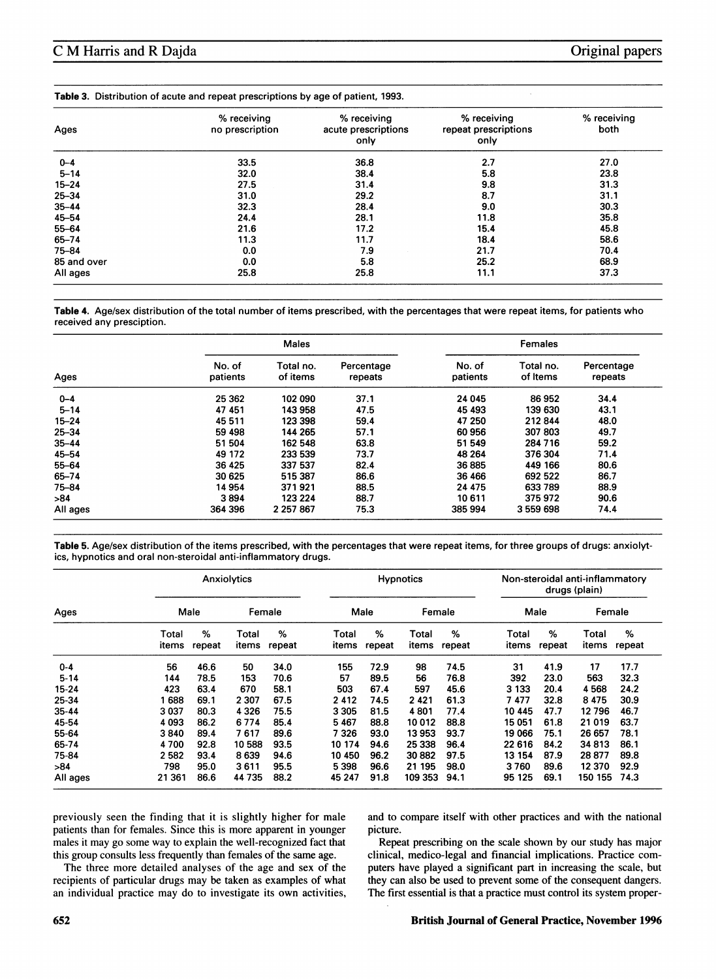| Ages        | % receiving<br>no prescription | % receiving<br>acute prescriptions<br>only | % receiving<br>repeat prescriptions<br>only | % receiving<br>both |  |
|-------------|--------------------------------|--------------------------------------------|---------------------------------------------|---------------------|--|
| $0 - 4$     | 33.5                           | 36.8                                       | 2.7                                         | 27.0                |  |
| $5 - 14$    | 32.0                           | 38.4                                       | 5.8                                         | 23.8                |  |
| $15 - 24$   | 27.5                           | 31.4                                       | 9.8                                         | 31.3                |  |
| $25 - 34$   | 31.0                           | 29.2                                       | 8.7                                         | 31.1                |  |
| $35 - 44$   | 32.3                           | 28.4                                       | 9.0                                         | 30.3                |  |
| 45-54       | 24.4                           | 28.1                                       | 11.8                                        | 35.8                |  |
| 55-64       | 21.6                           | 17.2                                       | 15.4                                        | 45.8                |  |
| 65-74       | 11.3                           | 11.7                                       | 18.4                                        | 58.6                |  |
| 75-84       | 0.0                            | 7.9                                        | 21.7                                        | 70.4                |  |
| 85 and over | 0.0                            | 5.8                                        | 25.2                                        | 68.9                |  |
| All ages    | 25.8                           | 25.8                                       | 11.1                                        | 37.3                |  |

Table 4. Age/sex distribution of the total number of items prescribed, with the percentages that were repeat items, for patients who received any presciption.

| Ages      |                    | <b>Males</b>          |                       | Females            |                       |                       |  |
|-----------|--------------------|-----------------------|-----------------------|--------------------|-----------------------|-----------------------|--|
|           | No. of<br>patients | Total no.<br>of items | Percentage<br>repeats | No. of<br>patients | Total no.<br>of Items | Percentage<br>repeats |  |
| $0 - 4$   | 25 362             | 102 090               | 37.1                  | 24 045             | 86952                 | 34.4                  |  |
| $5 - 14$  | 47 451             | 143 958               | 47.5                  | 45 493             | 139 630               | 43.1                  |  |
| $15 - 24$ | 45 5 11            | 123 398               | 59.4                  | 47 250             | 212844                | 48.0                  |  |
| $25 - 34$ | 59 498             | 144 265               | 57.1                  | 60 956             | 307 803               | 49.7                  |  |
| $35 - 44$ | 51 504             | 162 548               | 63.8                  | 51 549             | 284 716               | 59.2                  |  |
| $45 - 54$ | 49 172             | 233 539               | 73.7                  | 48 264             | 376 304               | 71.4                  |  |
| $55 - 64$ | 36 4 25            | 337 537               | 82.4                  | 36885              | 449 166               | 80.6                  |  |
| 65-74     | 30 625             | 515 387               | 86.6                  | 36 466             | 692 522               | 86.7                  |  |
| 75-84     | 14 954             | 371921                | 88.5                  | 24 475             | 633 789               | 88.9                  |  |
| >84       | 3894               | 123 224               | 88.7                  | 10 611             | 375972                | 90.6                  |  |
| All ages  | 364 396            | 2 2 5 7 8 6 7         | 75.3                  | 385 994            | 3 559 698             | 74.4                  |  |

Table 5. Age/sex distribution of the items prescribed, with the percentages that were repeat items, for three groups of drugs: anxiolytics, hypnotics and oral non-steroidal anti-inflammatory drugs.

| Ages      | Anxiolytics    |             |                | <b>Hypnotics</b> |                |             | Non-steroidal anti-inflammatory<br>drugs (plain) |             |                |             |                |             |
|-----------|----------------|-------------|----------------|------------------|----------------|-------------|--------------------------------------------------|-------------|----------------|-------------|----------------|-------------|
|           | Male           |             | Female         |                  | Male           |             | Female                                           |             | Male           |             | Female         |             |
|           | Total<br>items | %<br>repeat | Total<br>items | %<br>repeat      | Total<br>items | %<br>repeat | Total<br>items                                   | %<br>repeat | Total<br>items | %<br>repeat | Total<br>items | %<br>repeat |
| $0 - 4$   | 56             | 46.6        | 50             | 34.0             | 155            | 72.9        | 98                                               | 74.5        | 31             | 41.9        | 17             | 17.7        |
| $5 - 14$  | 144            | 78.5        | 153            | 70.6             | 57             | 89.5        | 56                                               | 76.8        | 392            | 23.0        | 563            | 32.3        |
| 15-24     | 423            | 63.4        | 670            | 58.1             | 503            | 67.4        | 597                                              | 45.6        | 3 133          | 20.4        | 4568           | 24.2        |
| 25-34     | 688            | 69.1        | 2 3 0 7        | 67.5             | 2412           | 74.5        | 2421                                             | 61.3        | 7477           | 32.8        | 8475           | 30.9        |
| $35 - 44$ | 3037           | 80.3        | 4 3 2 6        | 75.5             | 3 3 0 5        | 81.5        | 4801                                             | 77.4        | 10 445         | 47.7        | 12796          | 46.7        |
| 45-54     | 4 0 9 3        | 86.2        | 6774           | 85.4             | 5 4 6 7        | 88.8        | 10012                                            | 88.8        | 15051          | 61.8        | 21019          | 63.7        |
| 55-64     | 3840           | 89.4        | 7617           | 89.6             | 7 3 2 6        | 93.0        | 13 953                                           | 93.7        | 19 066         | 75.1        | 26 657         | 78.1        |
| 65-74     | 4700           | 92.8        | 10 588         | 93.5             | 10 174         | 94.6        | 25 338                                           | 96.4        | 22 616         | 84.2        | 34813          | 86.1        |
| 75-84     | 2582           | 93.4        | 8639           | 94.6             | 10 450         | 96.2        | 30882                                            | 97.5        | 13 154         | 87.9        | 28877          | 89.8        |
| >84       | 798            | 95.0        | 3611           | 95.5             | 5 3 9 8        | 96.6        | 21 195                                           | 98.0        | 3760           | 89.6        | 12 370         | 92.9        |
| All ages  | 21 361         | 86.6        | 44 735         | 88.2             | 45 247         | 91.8        | 109 353                                          | 94.1        | 95 125         | 69.1        | 150 155        | 74.3        |

previously seen the finding that it is slightly higher for male patients than for females. Since this is more apparent in younger males it may go some way to explain the well-recognized fact that this group consults less frequently than females of the same age.

The three more detailed analyses of the age and sex of the recipients of particular drugs may be taken as examples of what an individual practice may do to investigate its own activities,

and to compare itself with other practices and with the national picture.

Repeat prescribing on the scale shown by our study has major clinical, medico-legal and financial implications. Practice computers have played a significant part in increasing the scale, but they can also be used to prevent some of the consequent dangers. The first essential is that a practice must control its system proper-